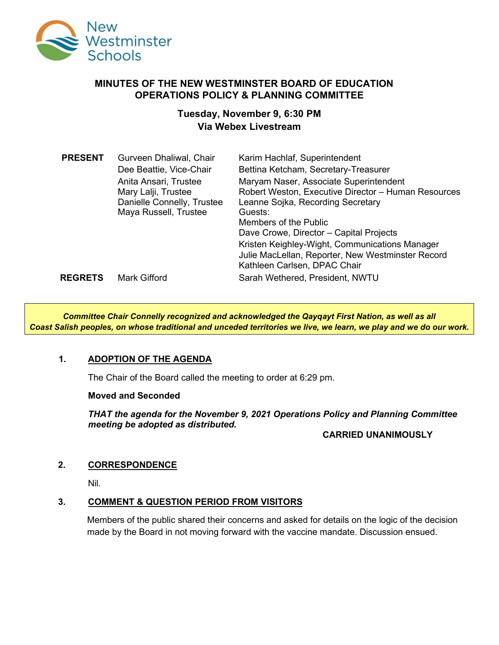

# **MINUTES OF THE NEW WESTMINSTER BOARD OF EDUCATION OPERATIONS POLICY & PLANNING COMMITTEE**

# **Tuesday, November 9, 6:30 PM Via Webex Livestream**

| Karim Hachlaf, Superintendent<br>Bettina Ketcham, Secretary-Treasurer<br>Maryam Naser, Associate Superintendent<br>Robert Weston, Executive Director - Human Resources<br>Leanne Sojka, Recording Secretary<br>Guests:<br>Members of the Public<br>Dave Crowe, Director - Capital Projects<br>Kristen Keighley-Wight, Communications Manager |
|----------------------------------------------------------------------------------------------------------------------------------------------------------------------------------------------------------------------------------------------------------------------------------------------------------------------------------------------|
| Kathleen Carlsen, DPAC Chair<br>Sarah Wethered, President, NWTU                                                                                                                                                                                                                                                                              |
| Julie MacLellan, Reporter, New Westminster Record                                                                                                                                                                                                                                                                                            |

*Committee Chair Connelly recognized and acknowledged the Qayqayt First Nation, as well as all Coast Salish peoples, on whose traditional and unceded territories we live, we learn, we play and we do our work.*

### **1. ADOPTION OF THE AGENDA**

The Chair of the Board called the meeting to order at 6:29 pm.

#### **Moved and Seconded**

*THAT the agenda for the November 9, 2021 Operations Policy and Planning Committee meeting be adopted as distributed.*

### **CARRIED UNANIMOUSLY**

### **2. CORRESPONDENCE**

Nil.

### **3. COMMENT & QUESTION PERIOD FROM VISITORS**

Members of the public shared their concerns and asked for details on the logic of the decision made by the Board in not moving forward with the vaccine mandate. Discussion ensued.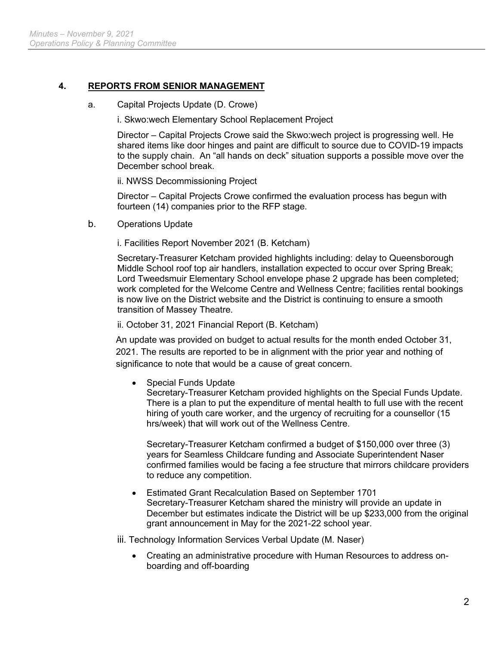# **4. REPORTS FROM SENIOR MANAGEMENT**

a. Capital Projects Update (D. Crowe)

i. Skwo:wech Elementary School Replacement Project

Director – Capital Projects Crowe said the Skwo:wech project is progressing well. He shared items like door hinges and paint are difficult to source due to COVID-19 impacts to the supply chain. An "all hands on deck" situation supports a possible move over the December school break.

ii. NWSS Decommissioning Project

Director – Capital Projects Crowe confirmed the evaluation process has begun with fourteen (14) companies prior to the RFP stage.

b. Operations Update

i. Facilities Report November 2021 (B. Ketcham)

Secretary-Treasurer Ketcham provided highlights including: delay to Queensborough Middle School roof top air handlers, installation expected to occur over Spring Break; Lord Tweedsmuir Elementary School envelope phase 2 upgrade has been completed; work completed for the Welcome Centre and Wellness Centre; facilities rental bookings is now live on the District website and the District is continuing to ensure a smooth transition of Massey Theatre.

ii. October 31, 2021 Financial Report (B. Ketcham)

An update was provided on budget to actual results for the month ended October 31, 2021. The results are reported to be in alignment with the prior year and nothing of significance to note that would be a cause of great concern.

• Special Funds Update

Secretary-Treasurer Ketcham provided highlights on the Special Funds Update. There is a plan to put the expenditure of mental health to full use with the recent hiring of youth care worker, and the urgency of recruiting for a counsellor (15 hrs/week) that will work out of the Wellness Centre.

Secretary-Treasurer Ketcham confirmed a budget of \$150,000 over three (3) years for Seamless Childcare funding and Associate Superintendent Naser confirmed families would be facing a fee structure that mirrors childcare providers to reduce any competition.

• Estimated Grant Recalculation Based on September 1701 Secretary-Treasurer Ketcham shared the ministry will provide an update in December but estimates indicate the District will be up \$233,000 from the original grant announcement in May for the 2021-22 school year.

iii. Technology Information Services Verbal Update (M. Naser)

• Creating an administrative procedure with Human Resources to address onboarding and off-boarding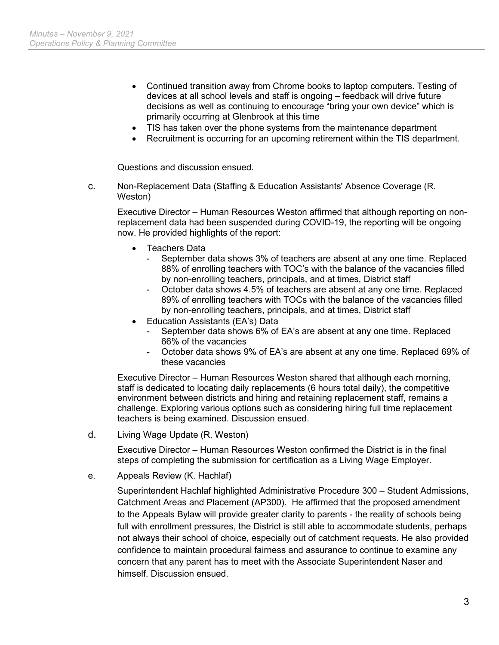- Continued transition away from Chrome books to laptop computers. Testing of devices at all school levels and staff is ongoing – feedback will drive future decisions as well as continuing to encourage "bring your own device" which is primarily occurring at Glenbrook at this time
- TIS has taken over the phone systems from the maintenance department
- Recruitment is occurring for an upcoming retirement within the TIS department.

Questions and discussion ensued.

c. Non-Replacement Data (Staffing & Education Assistants' Absence Coverage (R. Weston)

Executive Director – Human Resources Weston affirmed that although reporting on nonreplacement data had been suspended during COVID-19, the reporting will be ongoing now. He provided highlights of the report:

- Teachers Data
	- September data shows 3% of teachers are absent at any one time. Replaced 88% of enrolling teachers with TOC's with the balance of the vacancies filled by non-enrolling teachers, principals, and at times, District staff
	- October data shows 4.5% of teachers are absent at any one time. Replaced 89% of enrolling teachers with TOCs with the balance of the vacancies filled by non-enrolling teachers, principals, and at times, District staff
- Education Assistants (EA's) Data
	- September data shows 6% of EA's are absent at any one time. Replaced 66% of the vacancies
	- October data shows 9% of EA's are absent at any one time. Replaced 69% of these vacancies

Executive Director – Human Resources Weston shared that although each morning, staff is dedicated to locating daily replacements (6 hours total daily), the competitive environment between districts and hiring and retaining replacement staff, remains a challenge. Exploring various options such as considering hiring full time replacement teachers is being examined. Discussion ensued.

d. Living Wage Update (R. Weston)

Executive Director – Human Resources Weston confirmed the District is in the final steps of completing the submission for certification as a Living Wage Employer.

e. Appeals Review (K. Hachlaf)

Superintendent Hachlaf highlighted Administrative Procedure 300 – Student Admissions, Catchment Areas and Placement (AP300). He affirmed that the proposed amendment to the Appeals Bylaw will provide greater clarity to parents - the reality of schools being full with enrollment pressures, the District is still able to accommodate students, perhaps not always their school of choice, especially out of catchment requests. He also provided confidence to maintain procedural fairness and assurance to continue to examine any concern that any parent has to meet with the Associate Superintendent Naser and himself. Discussion ensued.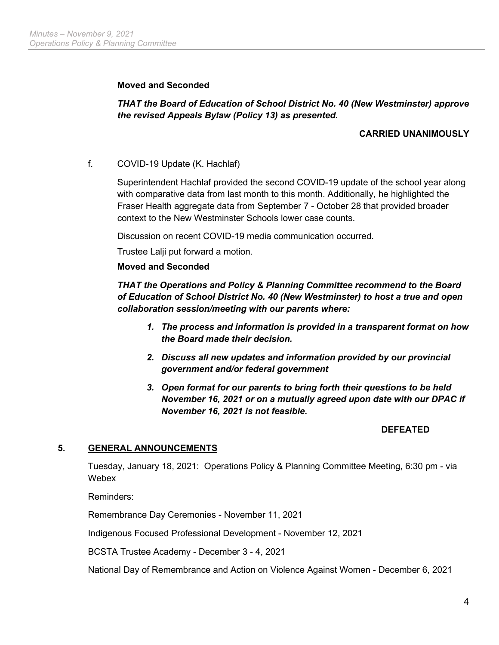## **Moved and Seconded**

# *THAT the Board of Education of School District No. 40 (New Westminster) approve the revised Appeals Bylaw (Policy 13) as presented.*

# **CARRIED UNANIMOUSLY**

f. COVID-19 Update (K. Hachlaf)

Superintendent Hachlaf provided the second COVID-19 update of the school year along with comparative data from last month to this month. Additionally, he highlighted the Fraser Health aggregate data from September 7 - October 28 that provided broader context to the New Westminster Schools lower case counts.

Discussion on recent COVID-19 media communication occurred.

Trustee Lalji put forward a motion.

#### **Moved and Seconded**

*THAT the Operations and Policy & Planning Committee recommend to the Board of Education of School District No. 40 (New Westminster) to host a true and open collaboration session/meeting with our parents where:*

- *1. The process and information is provided in a transparent format on how the Board made their decision.*
- *2. Discuss all new updates and information provided by our provincial government and/or federal government*
- *3. Open format for our parents to bring forth their questions to be held November 16, 2021 or on a mutually agreed upon date with our DPAC if November 16, 2021 is not feasible.*

### **DEFEATED**

### **5. GENERAL ANNOUNCEMENTS**

Tuesday, January 18, 2021: Operations Policy & Planning Committee Meeting, 6:30 pm - via Webex

Reminders:

Remembrance Day Ceremonies - November 11, 2021

Indigenous Focused Professional Development - November 12, 2021

BCSTA Trustee Academy - December 3 - 4, 2021

National Day of Remembrance and Action on Violence Against Women - December 6, 2021